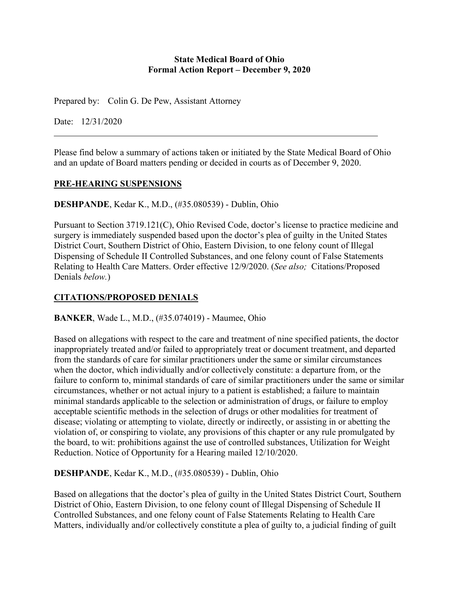### **State Medical Board of Ohio Formal Action Report – December 9, 2020**

Prepared by: Colin G. De Pew, Assistant Attorney

Date: 12/31/2020

Please find below a summary of actions taken or initiated by the State Medical Board of Ohio and an update of Board matters pending or decided in courts as of December 9, 2020.

### **PRE-HEARING SUSPENSIONS**

**DESHPANDE**, Kedar K., M.D., (#35.080539) - Dublin, Ohio

Pursuant to Section 3719.121(C), Ohio Revised Code, doctor's license to practice medicine and surgery is immediately suspended based upon the doctor's plea of guilty in the United States District Court, Southern District of Ohio, Eastern Division, to one felony count of Illegal Dispensing of Schedule II Controlled Substances, and one felony count of False Statements Relating to Health Care Matters. Order effective 12/9/2020. (*See also;* Citations/Proposed Denials *below.*)

# **CITATIONS/PROPOSED DENIALS**

**BANKER**, Wade L., M.D., (#35.074019) - Maumee, Ohio

Based on allegations with respect to the care and treatment of nine specified patients, the doctor inappropriately treated and/or failed to appropriately treat or document treatment, and departed from the standards of care for similar practitioners under the same or similar circumstances when the doctor, which individually and/or collectively constitute: a departure from, or the failure to conform to, minimal standards of care of similar practitioners under the same or similar circumstances, whether or not actual injury to a patient is established; a failure to maintain minimal standards applicable to the selection or administration of drugs, or failure to employ acceptable scientific methods in the selection of drugs or other modalities for treatment of disease; violating or attempting to violate, directly or indirectly, or assisting in or abetting the violation of, or conspiring to violate, any provisions of this chapter or any rule promulgated by the board, to wit: prohibitions against the use of controlled substances, Utilization for Weight Reduction. Notice of Opportunity for a Hearing mailed 12/10/2020.

**DESHPANDE**, Kedar K., M.D., (#35.080539) - Dublin, Ohio

Based on allegations that the doctor's plea of guilty in the United States District Court, Southern District of Ohio, Eastern Division, to one felony count of Illegal Dispensing of Schedule II Controlled Substances, and one felony count of False Statements Relating to Health Care Matters, individually and/or collectively constitute a plea of guilty to, a judicial finding of guilt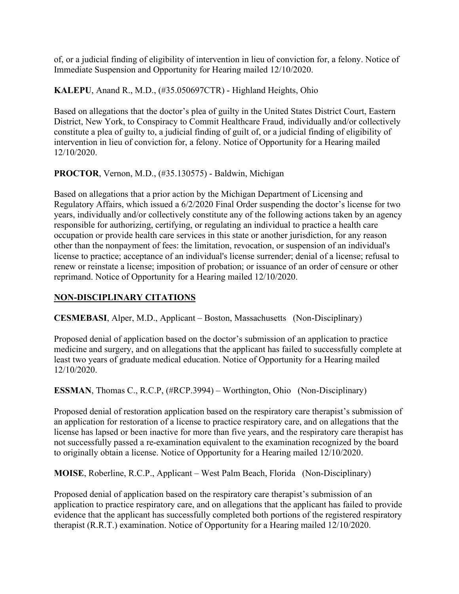of, or a judicial finding of eligibility of intervention in lieu of conviction for, a felony. Notice of Immediate Suspension and Opportunity for Hearing mailed 12/10/2020.

**KALEPU**, Anand R., M.D., (#35.050697CTR) - Highland Heights, Ohio

Based on allegations that the doctor's plea of guilty in the United States District Court, Eastern District, New York, to Conspiracy to Commit Healthcare Fraud, individually and/or collectively constitute a plea of guilty to, a judicial finding of guilt of, or a judicial finding of eligibility of intervention in lieu of conviction for, a felony. Notice of Opportunity for a Hearing mailed 12/10/2020.

## **PROCTOR**, Vernon, M.D., (#35.130575) - Baldwin, Michigan

Based on allegations that a prior action by the Michigan Department of Licensing and Regulatory Affairs, which issued a 6/2/2020 Final Order suspending the doctor's license for two years, individually and/or collectively constitute any of the following actions taken by an agency responsible for authorizing, certifying, or regulating an individual to practice a health care occupation or provide health care services in this state or another jurisdiction, for any reason other than the nonpayment of fees: the limitation, revocation, or suspension of an individual's license to practice; acceptance of an individual's license surrender; denial of a license; refusal to renew or reinstate a license; imposition of probation; or issuance of an order of censure or other reprimand. Notice of Opportunity for a Hearing mailed 12/10/2020.

# **NON-DISCIPLINARY CITATIONS**

**CESMEBASI**, Alper, M.D., Applicant – Boston, Massachusetts (Non-Disciplinary)

Proposed denial of application based on the doctor's submission of an application to practice medicine and surgery, and on allegations that the applicant has failed to successfully complete at least two years of graduate medical education. Notice of Opportunity for a Hearing mailed 12/10/2020.

**ESSMAN**, Thomas C., R.C.P, (#RCP.3994) – Worthington, Ohio (Non-Disciplinary)

Proposed denial of restoration application based on the respiratory care therapist's submission of an application for restoration of a license to practice respiratory care, and on allegations that the license has lapsed or been inactive for more than five years, and the respiratory care therapist has not successfully passed a re-examination equivalent to the examination recognized by the board to originally obtain a license. Notice of Opportunity for a Hearing mailed 12/10/2020.

**MOISE**, Roberline, R.C.P., Applicant – West Palm Beach, Florida (Non-Disciplinary)

Proposed denial of application based on the respiratory care therapist's submission of an application to practice respiratory care, and on allegations that the applicant has failed to provide evidence that the applicant has successfully completed both portions of the registered respiratory therapist (R.R.T.) examination. Notice of Opportunity for a Hearing mailed 12/10/2020.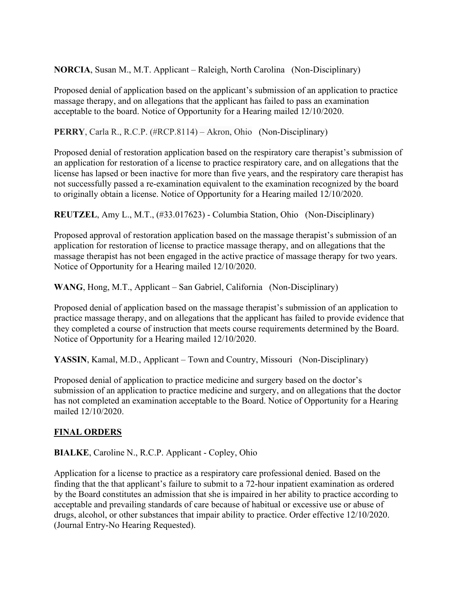**NORCIA**, Susan M., M.T. Applicant – Raleigh, North Carolina (Non-Disciplinary)

Proposed denial of application based on the applicant's submission of an application to practice massage therapy, and on allegations that the applicant has failed to pass an examination acceptable to the board. Notice of Opportunity for a Hearing mailed 12/10/2020.

**PERRY**, Carla R., R.C.P. (#RCP.8114) – Akron, Ohio (Non-Disciplinary)

Proposed denial of restoration application based on the respiratory care therapist's submission of an application for restoration of a license to practice respiratory care, and on allegations that the license has lapsed or been inactive for more than five years, and the respiratory care therapist has not successfully passed a re-examination equivalent to the examination recognized by the board to originally obtain a license. Notice of Opportunity for a Hearing mailed 12/10/2020.

**REUTZEL**, Amy L., M.T., (#33.017623) - Columbia Station, Ohio (Non-Disciplinary)

Proposed approval of restoration application based on the massage therapist's submission of an application for restoration of license to practice massage therapy, and on allegations that the massage therapist has not been engaged in the active practice of massage therapy for two years. Notice of Opportunity for a Hearing mailed 12/10/2020.

WANG, Hong, M.T., Applicant – San Gabriel, California (Non-Disciplinary)

Proposed denial of application based on the massage therapist's submission of an application to practice massage therapy, and on allegations that the applicant has failed to provide evidence that they completed a course of instruction that meets course requirements determined by the Board. Notice of Opportunity for a Hearing mailed 12/10/2020.

YASSIN, Kamal, M.D., Applicant – Town and Country, Missouri (Non-Disciplinary)

Proposed denial of application to practice medicine and surgery based on the doctor's submission of an application to practice medicine and surgery, and on allegations that the doctor has not completed an examination acceptable to the Board. Notice of Opportunity for a Hearing mailed 12/10/2020.

# **FINAL ORDERS**

**BIALKE**, Caroline N., R.C.P. Applicant - Copley, Ohio

Application for a license to practice as a respiratory care professional denied. Based on the finding that the that applicant's failure to submit to a 72-hour inpatient examination as ordered by the Board constitutes an admission that she is impaired in her ability to practice according to acceptable and prevailing standards of care because of habitual or excessive use or abuse of drugs, alcohol, or other substances that impair ability to practice. Order effective 12/10/2020. (Journal Entry-No Hearing Requested).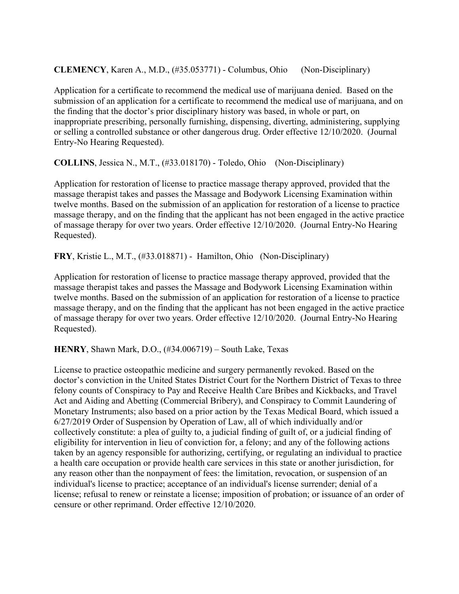**CLEMENCY**, Karen A., M.D., (#35.053771) - Columbus, Ohio (Non-Disciplinary)

Application for a certificate to recommend the medical use of marijuana denied. Based on the submission of an application for a certificate to recommend the medical use of marijuana, and on the finding that the doctor's prior disciplinary history was based, in whole or part, on inappropriate prescribing, personally furnishing, dispensing, diverting, administering, supplying or selling a controlled substance or other dangerous drug. Order effective 12/10/2020. (Journal Entry-No Hearing Requested).

**COLLINS**, Jessica N., M.T., (#33.018170) - Toledo, Ohio (Non-Disciplinary)

Application for restoration of license to practice massage therapy approved, provided that the massage therapist takes and passes the Massage and Bodywork Licensing Examination within twelve months. Based on the submission of an application for restoration of a license to practice massage therapy, and on the finding that the applicant has not been engaged in the active practice of massage therapy for over two years. Order effective 12/10/2020. (Journal Entry-No Hearing Requested).

**FRY**, Kristie L., M.T., (#33.018871) - Hamilton, Ohio (Non-Disciplinary)

Application for restoration of license to practice massage therapy approved, provided that the massage therapist takes and passes the Massage and Bodywork Licensing Examination within twelve months. Based on the submission of an application for restoration of a license to practice massage therapy, and on the finding that the applicant has not been engaged in the active practice of massage therapy for over two years. Order effective 12/10/2020. (Journal Entry-No Hearing Requested).

**HENRY**, Shawn Mark, D.O., (#34.006719) – South Lake, Texas

License to practice osteopathic medicine and surgery permanently revoked. Based on the doctor's conviction in the United States District Court for the Northern District of Texas to three felony counts of Conspiracy to Pay and Receive Health Care Bribes and Kickbacks, and Travel Act and Aiding and Abetting (Commercial Bribery), and Conspiracy to Commit Laundering of Monetary Instruments; also based on a prior action by the Texas Medical Board, which issued a 6/27/2019 Order of Suspension by Operation of Law, all of which individually and/or collectively constitute: a plea of guilty to, a judicial finding of guilt of, or a judicial finding of eligibility for intervention in lieu of conviction for, a felony; and any of the following actions taken by an agency responsible for authorizing, certifying, or regulating an individual to practice a health care occupation or provide health care services in this state or another jurisdiction, for any reason other than the nonpayment of fees: the limitation, revocation, or suspension of an individual's license to practice; acceptance of an individual's license surrender; denial of a license; refusal to renew or reinstate a license; imposition of probation; or issuance of an order of censure or other reprimand. Order effective 12/10/2020.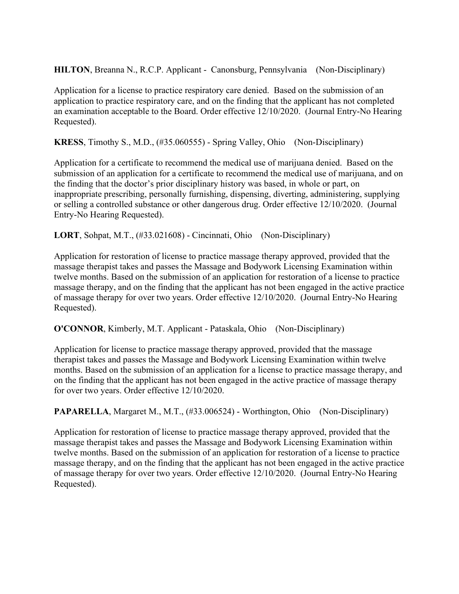**HILTON**, Breanna N., R.C.P. Applicant - Canonsburg, Pennsylvania (Non-Disciplinary)

Application for a license to practice respiratory care denied. Based on the submission of an application to practice respiratory care, and on the finding that the applicant has not completed an examination acceptable to the Board. Order effective 12/10/2020. (Journal Entry-No Hearing Requested).

**KRESS**, Timothy S., M.D., (#35.060555) - Spring Valley, Ohio (Non-Disciplinary)

Application for a certificate to recommend the medical use of marijuana denied. Based on the submission of an application for a certificate to recommend the medical use of marijuana, and on the finding that the doctor's prior disciplinary history was based, in whole or part, on inappropriate prescribing, personally furnishing, dispensing, diverting, administering, supplying or selling a controlled substance or other dangerous drug. Order effective 12/10/2020. (Journal Entry-No Hearing Requested).

**LORT**, Sohpat, M.T., (#33.021608) - Cincinnati, Ohio (Non-Disciplinary)

Application for restoration of license to practice massage therapy approved, provided that the massage therapist takes and passes the Massage and Bodywork Licensing Examination within twelve months. Based on the submission of an application for restoration of a license to practice massage therapy, and on the finding that the applicant has not been engaged in the active practice of massage therapy for over two years. Order effective 12/10/2020. (Journal Entry-No Hearing Requested).

**O'CONNOR**, Kimberly, M.T. Applicant - Pataskala, Ohio (Non-Disciplinary)

Application for license to practice massage therapy approved, provided that the massage therapist takes and passes the Massage and Bodywork Licensing Examination within twelve months. Based on the submission of an application for a license to practice massage therapy, and on the finding that the applicant has not been engaged in the active practice of massage therapy for over two years. Order effective 12/10/2020.

**PAPARELLA**, Margaret M., M.T., (#33.006524) - Worthington, Ohio (Non-Disciplinary)

Application for restoration of license to practice massage therapy approved, provided that the massage therapist takes and passes the Massage and Bodywork Licensing Examination within twelve months. Based on the submission of an application for restoration of a license to practice massage therapy, and on the finding that the applicant has not been engaged in the active practice of massage therapy for over two years. Order effective 12/10/2020. (Journal Entry-No Hearing Requested).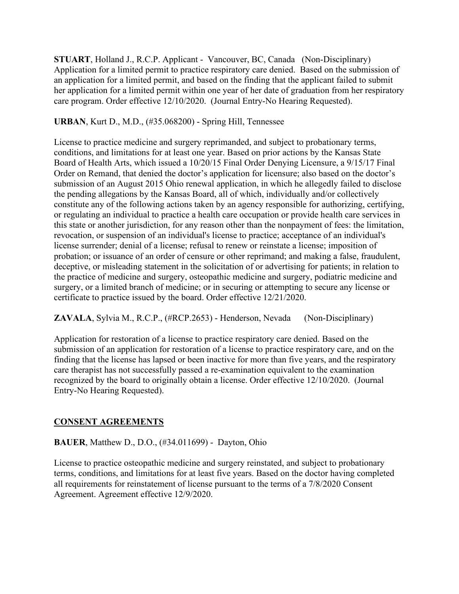**STUART**, Holland J., R.C.P. Applicant - Vancouver, BC, Canada (Non-Disciplinary) Application for a limited permit to practice respiratory care denied. Based on the submission of an application for a limited permit, and based on the finding that the applicant failed to submit her application for a limited permit within one year of her date of graduation from her respiratory care program. Order effective 12/10/2020. (Journal Entry-No Hearing Requested).

### **URBAN**, Kurt D., M.D., (#35.068200) - Spring Hill, Tennessee

License to practice medicine and surgery reprimanded, and subject to probationary terms, conditions, and limitations for at least one year. Based on prior actions by the Kansas State Board of Health Arts, which issued a 10/20/15 Final Order Denying Licensure, a 9/15/17 Final Order on Remand, that denied the doctor's application for licensure; also based on the doctor's submission of an August 2015 Ohio renewal application, in which he allegedly failed to disclose the pending allegations by the Kansas Board, all of which, individually and/or collectively constitute any of the following actions taken by an agency responsible for authorizing, certifying, or regulating an individual to practice a health care occupation or provide health care services in this state or another jurisdiction, for any reason other than the nonpayment of fees: the limitation, revocation, or suspension of an individual's license to practice; acceptance of an individual's license surrender; denial of a license; refusal to renew or reinstate a license; imposition of probation; or issuance of an order of censure or other reprimand; and making a false, fraudulent, deceptive, or misleading statement in the solicitation of or advertising for patients; in relation to the practice of medicine and surgery, osteopathic medicine and surgery, podiatric medicine and surgery, or a limited branch of medicine; or in securing or attempting to secure any license or certificate to practice issued by the board. Order effective 12/21/2020.

**ZAVALA**, Sylvia M., R.C.P., (#RCP.2653) - Henderson, Nevada (Non-Disciplinary)

Application for restoration of a license to practice respiratory care denied. Based on the submission of an application for restoration of a license to practice respiratory care, and on the finding that the license has lapsed or been inactive for more than five years, and the respiratory care therapist has not successfully passed a re-examination equivalent to the examination recognized by the board to originally obtain a license. Order effective 12/10/2020. (Journal Entry-No Hearing Requested).

### **CONSENT AGREEMENTS**

#### **BAUER**, Matthew D., D.O., (#34.011699) - Dayton, Ohio

License to practice osteopathic medicine and surgery reinstated, and subject to probationary terms, conditions, and limitations for at least five years. Based on the doctor having completed all requirements for reinstatement of license pursuant to the terms of a 7/8/2020 Consent Agreement. Agreement effective 12/9/2020.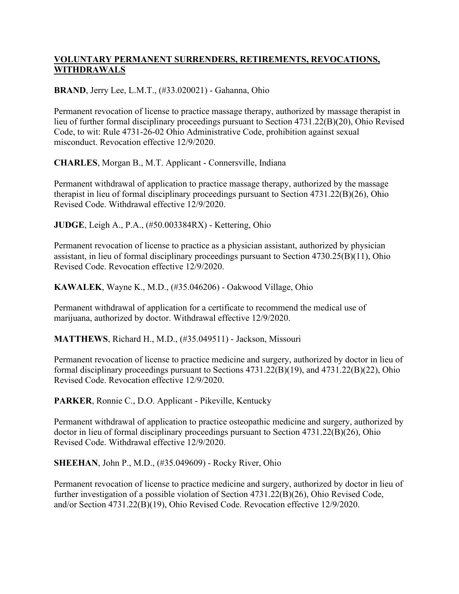## **VOLUNTARY PERMANENT SURRENDERS, RETIREMENTS, REVOCATIONS, WITHDRAWALS**

**BRAND**, Jerry Lee, L.M.T., (#33.020021) - Gahanna, Ohio

Permanent revocation of license to practice massage therapy, authorized by massage therapist in lieu of further formal disciplinary proceedings pursuant to Section 4731.22(B)(20), Ohio Revised Code, to wit: Rule 4731-26-02 Ohio Administrative Code, prohibition against sexual misconduct. Revocation effective 12/9/2020.

**CHARLES**, Morgan B., M.T. Applicant - Connersville, Indiana

Permanent withdrawal of application to practice massage therapy, authorized by the massage therapist in lieu of formal disciplinary proceedings pursuant to Section 4731.22(B)(26), Ohio Revised Code. Withdrawal effective 12/9/2020.

**JUDGE**, Leigh A., P.A., (#50.003384RX) - Kettering, Ohio

Permanent revocation of license to practice as a physician assistant, authorized by physician assistant, in lieu of formal disciplinary proceedings pursuant to Section 4730.25(B)(11), Ohio Revised Code. Revocation effective 12/9/2020.

**KAWALEK**, Wayne K., M.D., (#35.046206) - Oakwood Village, Ohio

Permanent withdrawal of application for a certificate to recommend the medical use of marijuana, authorized by doctor. Withdrawal effective 12/9/2020.

**MATTHEWS**, Richard H., M.D., (#35.049511) - Jackson, Missouri

Permanent revocation of license to practice medicine and surgery, authorized by doctor in lieu of formal disciplinary proceedings pursuant to Sections 4731.22(B)(19), and 4731.22(B)(22), Ohio Revised Code. Revocation effective 12/9/2020.

**PARKER**, Ronnie C., D.O. Applicant - Pikeville, Kentucky

Permanent withdrawal of application to practice osteopathic medicine and surgery, authorized by doctor in lieu of formal disciplinary proceedings pursuant to Section 4731.22(B)(26), Ohio Revised Code. Withdrawal effective 12/9/2020.

**SHEEHAN**, John P., M.D., (#35.049609) - Rocky River, Ohio

Permanent revocation of license to practice medicine and surgery, authorized by doctor in lieu of further investigation of a possible violation of Section 4731.22(B)(26), Ohio Revised Code, and/or Section 4731.22(B)(19), Ohio Revised Code. Revocation effective 12/9/2020.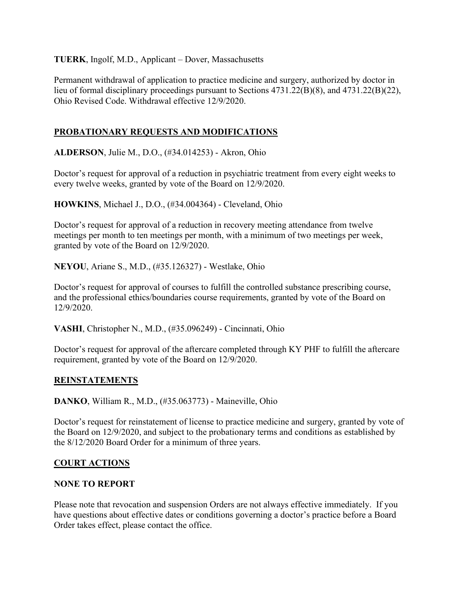**TUERK**, Ingolf, M.D., Applicant – Dover, Massachusetts

Permanent withdrawal of application to practice medicine and surgery, authorized by doctor in lieu of formal disciplinary proceedings pursuant to Sections 4731.22(B)(8), and 4731.22(B)(22), Ohio Revised Code. Withdrawal effective 12/9/2020.

## **PROBATIONARY REQUESTS AND MODIFICATIONS**

**ALDERSON**, Julie M., D.O., (#34.014253) - Akron, Ohio

Doctor's request for approval of a reduction in psychiatric treatment from every eight weeks to every twelve weeks, granted by vote of the Board on 12/9/2020.

**HOWKINS**, Michael J., D.O., (#34.004364) - Cleveland, Ohio

Doctor's request for approval of a reduction in recovery meeting attendance from twelve meetings per month to ten meetings per month, with a minimum of two meetings per week, granted by vote of the Board on 12/9/2020.

**NEYOU**, Ariane S., M.D., (#35.126327) - Westlake, Ohio

Doctor's request for approval of courses to fulfill the controlled substance prescribing course, and the professional ethics/boundaries course requirements, granted by vote of the Board on 12/9/2020.

**VASHI**, Christopher N., M.D., (#35.096249) - Cincinnati, Ohio

Doctor's request for approval of the aftercare completed through KY PHF to fulfill the aftercare requirement, granted by vote of the Board on 12/9/2020.

#### **REINSTATEMENTS**

**DANKO**, William R., M.D., (#35.063773) - Maineville, Ohio

Doctor's request for reinstatement of license to practice medicine and surgery, granted by vote of the Board on 12/9/2020, and subject to the probationary terms and conditions as established by the 8/12/2020 Board Order for a minimum of three years.

### **COURT ACTIONS**

#### **NONE TO REPORT**

Please note that revocation and suspension Orders are not always effective immediately. If you have questions about effective dates or conditions governing a doctor's practice before a Board Order takes effect, please contact the office.